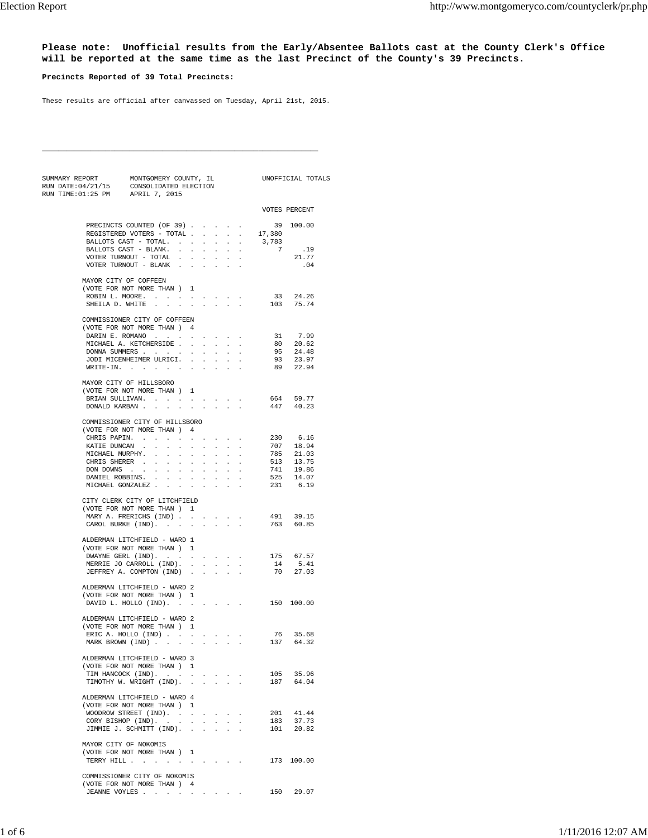**Please note: Unofficial results from the Early/Absentee Ballots cast at the County Clerk's Office will be reported at the same time as the last Precinct of the County's 39 Precincts.**

## **Precincts Reported of 39 Total Precincts:**

These results are official after canvassed on Tuesday, April 21st, 2015.

\_\_\_\_\_\_\_\_\_\_\_\_\_\_\_\_\_\_\_\_\_\_\_\_\_\_\_\_\_\_\_\_\_\_\_\_\_\_\_\_\_\_\_\_\_\_\_\_\_\_\_\_\_\_\_\_\_\_\_\_\_\_\_\_\_\_\_\_\_

| SUMMARY REPORT MONTGOMERY COUNTY, IL<br>RUN DATE:04/21/15 CONSOLIDATED ELECTION<br>RUN TIME:01:25 PM APRIL 7, 2015 |                 |                                                                                                     |                      |                                            |                      |                |                                                                                                                                                     |                                                                                                                                                     | UNOFFICIAL TOTALS     |                                              |     |
|--------------------------------------------------------------------------------------------------------------------|-----------------|-----------------------------------------------------------------------------------------------------|----------------------|--------------------------------------------|----------------------|----------------|-----------------------------------------------------------------------------------------------------------------------------------------------------|-----------------------------------------------------------------------------------------------------------------------------------------------------|-----------------------|----------------------------------------------|-----|
|                                                                                                                    |                 |                                                                                                     |                      |                                            |                      |                |                                                                                                                                                     |                                                                                                                                                     |                       |                                              |     |
|                                                                                                                    |                 |                                                                                                     |                      |                                            |                      |                |                                                                                                                                                     |                                                                                                                                                     | VOTES PERCENT         |                                              |     |
|                                                                                                                    |                 | PRECINCTS COUNTED (OF 39)                                                                           |                      |                                            |                      |                |                                                                                                                                                     |                                                                                                                                                     | $39$ 100.00<br>17,380 |                                              |     |
|                                                                                                                    |                 | REGISTERED VOTERS - TOTAL                                                                           |                      |                                            |                      |                |                                                                                                                                                     |                                                                                                                                                     |                       |                                              |     |
|                                                                                                                    |                 | BALLOTS CAST - TOTAL.                                                                               |                      |                                            |                      | $\sim$         | $\sim$                                                                                                                                              | $\ddot{\phantom{a}}$                                                                                                                                | 3,783                 |                                              |     |
|                                                                                                                    |                 | BALLOTS CAST - BLANK.                                                                               |                      |                                            |                      |                |                                                                                                                                                     |                                                                                                                                                     | 7                     |                                              | .19 |
|                                                                                                                    |                 | VOTER TURNOUT - TOTAL $\cdot$ .<br>VOTER TURNOUT - BLANK $\cdot$                                    |                      |                                            | $\ddot{\phantom{a}}$ | $\sim 10^{-1}$ | $\sim$                                                                                                                                              | $\cdot$                                                                                                                                             |                       | 21.77                                        | .04 |
|                                                                                                                    |                 |                                                                                                     |                      |                                            |                      |                |                                                                                                                                                     |                                                                                                                                                     |                       |                                              |     |
|                                                                                                                    |                 | MAYOR CITY OF COFFEEN<br>(VOTE FOR NOT MORE THAN ) 1                                                |                      |                                            |                      |                |                                                                                                                                                     |                                                                                                                                                     |                       |                                              |     |
|                                                                                                                    |                 | ROBIN L. MOORE.                                                                                     |                      |                                            |                      |                |                                                                                                                                                     |                                                                                                                                                     |                       | 33 24.26                                     |     |
|                                                                                                                    |                 | SHEILA D. WHITE                                                                                     |                      |                                            |                      |                |                                                                                                                                                     | $\mathbb{Z}^{\mathbb{Z}}$                                                                                                                           |                       | 103 75.74                                    |     |
|                                                                                                                    |                 | COMMISSIONER CITY OF COFFEEN                                                                        |                      |                                            |                      |                |                                                                                                                                                     |                                                                                                                                                     |                       |                                              |     |
|                                                                                                                    |                 | (VOTE FOR NOT MORE THAN ) 4                                                                         |                      |                                            |                      |                |                                                                                                                                                     |                                                                                                                                                     |                       |                                              |     |
|                                                                                                                    |                 | DARIN E. ROMANO                                                                                     |                      |                                            |                      |                |                                                                                                                                                     |                                                                                                                                                     |                       | 31 7.99                                      |     |
|                                                                                                                    |                 | MICHAEL A. KETCHERSIDE                                                                              |                      |                                            |                      | $\sim$         | $\sim 10^{-1}$                                                                                                                                      |                                                                                                                                                     |                       |                                              |     |
|                                                                                                                    |                 | DONNA SUMMERS                                                                                       |                      |                                            |                      |                |                                                                                                                                                     |                                                                                                                                                     |                       |                                              |     |
|                                                                                                                    |                 | JODI MICENHEIMER ULRICI.<br>$\verb+WRITE-IN+ \qquad . \qquad . \qquad . \qquad . \qquad . \qquad .$ |                      |                                            |                      |                |                                                                                                                                                     | $\cdot$                                                                                                                                             |                       | 80 20.62<br>95 24.48<br>93 23.97<br>89 22.94 |     |
|                                                                                                                    |                 |                                                                                                     |                      |                                            |                      |                |                                                                                                                                                     |                                                                                                                                                     |                       |                                              |     |
|                                                                                                                    |                 | MAYOR CITY OF HILLSBORO                                                                             |                      |                                            |                      |                |                                                                                                                                                     |                                                                                                                                                     |                       |                                              |     |
|                                                                                                                    |                 | (VOTE FOR NOT MORE THAN )                                                                           |                      | $\overline{1}$                             |                      |                |                                                                                                                                                     |                                                                                                                                                     |                       |                                              |     |
|                                                                                                                    |                 | BRIAN SULLIVAN.<br>DONALD KARBAN                                                                    |                      |                                            |                      | $\mathbf{r}$   | $\mathcal{L}^{\pm}$                                                                                                                                 | $\sim$                                                                                                                                              |                       | 664 59.77<br>447 40.23                       |     |
|                                                                                                                    |                 | COMMISSIONER CITY OF HILLSBORO                                                                      |                      |                                            |                      |                |                                                                                                                                                     |                                                                                                                                                     |                       |                                              |     |
|                                                                                                                    |                 | (VOTE FOR NOT MORE THAN ) 4                                                                         |                      |                                            |                      |                |                                                                                                                                                     |                                                                                                                                                     |                       |                                              |     |
|                                                                                                                    | CHRIS PAPIN.    | $\sim$<br>$\ddot{\phantom{a}}$                                                                      | $\ddot{\phantom{a}}$ | $\sim$                                     |                      |                | and a strain of                                                                                                                                     | $\cdot$                                                                                                                                             | 230                   | 6.16                                         |     |
|                                                                                                                    |                 | KATIE DUNCAN                                                                                        |                      |                                            |                      |                | and a series and a series of                                                                                                                        |                                                                                                                                                     |                       |                                              |     |
|                                                                                                                    | MICHAEL MURPHY. | $\mathcal{L}_{\mathcal{A}}$<br>$\mathcal{L}^{\pm}$                                                  | $\mathcal{L}^{\pm}$  | $\Box$                                     | $\ddot{\phantom{0}}$ | $\epsilon$     | $\mathcal{L}^{\text{max}}$                                                                                                                          |                                                                                                                                                     |                       | 707 18.94<br>785 21.03<br>513 13.75          |     |
|                                                                                                                    |                 | CHRIS SHERER                                                                                        |                      |                                            |                      |                |                                                                                                                                                     |                                                                                                                                                     |                       |                                              |     |
|                                                                                                                    | DON DOWNS .     |                                                                                                     |                      |                                            |                      |                |                                                                                                                                                     |                                                                                                                                                     |                       | 741 19.86<br>525 14.07                       |     |
|                                                                                                                    |                 | DANIEL ROBBINS.<br>MICHAEL GONZALEZ                                                                 |                      | $\mathcal{L}^{\pm}$                        |                      |                |                                                                                                                                                     |                                                                                                                                                     |                       | 231 6.19                                     |     |
|                                                                                                                    |                 | CITY CLERK CITY OF LITCHFIELD                                                                       |                      |                                            |                      |                |                                                                                                                                                     |                                                                                                                                                     |                       |                                              |     |
|                                                                                                                    |                 | (VOTE FOR NOT MORE THAN ) 1                                                                         |                      |                                            |                      |                |                                                                                                                                                     |                                                                                                                                                     |                       |                                              |     |
|                                                                                                                    |                 | MARY A. FRERICHS (IND)                                                                              |                      |                                            |                      |                |                                                                                                                                                     | $\cdot$                                                                                                                                             |                       | 491 39.15<br>763 60.85                       |     |
|                                                                                                                    |                 | CAROL BURKE (IND).                                                                                  |                      |                                            |                      |                | All Carolina Co.                                                                                                                                    | $\mathbf{r}$                                                                                                                                        |                       |                                              |     |
|                                                                                                                    |                 | ALDERMAN LITCHFIELD - WARD 1                                                                        |                      |                                            |                      |                |                                                                                                                                                     |                                                                                                                                                     |                       |                                              |     |
|                                                                                                                    |                 | (VOTE FOR NOT MORE THAN ) 1                                                                         |                      |                                            |                      |                |                                                                                                                                                     |                                                                                                                                                     |                       |                                              |     |
|                                                                                                                    |                 | DWAYNE GERL (IND).                                                                                  |                      |                                            |                      |                |                                                                                                                                                     | $\mathcal{L}^{\mathcal{A}}$ , $\mathcal{L}^{\mathcal{A}}$ , $\mathcal{L}^{\mathcal{A}}$ , $\mathcal{L}^{\mathcal{A}}$ , $\mathcal{L}^{\mathcal{A}}$ |                       | 175 67.57                                    |     |
|                                                                                                                    |                 | MERRIE JO CARROLL (IND).<br>JEFFREY A. COMPTON (IND).                                               |                      |                                            |                      |                |                                                                                                                                                     |                                                                                                                                                     | 14                    | 5.41<br>70 27.03                             |     |
|                                                                                                                    |                 |                                                                                                     |                      |                                            |                      |                |                                                                                                                                                     |                                                                                                                                                     |                       |                                              |     |
|                                                                                                                    |                 | ALDERMAN LITCHFIELD - WARD 2                                                                        |                      |                                            |                      |                |                                                                                                                                                     |                                                                                                                                                     |                       |                                              |     |
|                                                                                                                    |                 | (VOTE FOR NOT MORE THAN ) 1<br>DAVID L. HOLLO (IND).                                                |                      |                                            |                      |                |                                                                                                                                                     |                                                                                                                                                     |                       | 150 100.00                                   |     |
|                                                                                                                    |                 |                                                                                                     |                      |                                            |                      |                |                                                                                                                                                     |                                                                                                                                                     |                       |                                              |     |
|                                                                                                                    |                 | ALDERMAN LITCHFIELD - WARD 2                                                                        |                      |                                            |                      |                |                                                                                                                                                     |                                                                                                                                                     |                       |                                              |     |
|                                                                                                                    |                 | (VOTE FOR NOT MORE THAN ) 1                                                                         |                      |                                            |                      |                |                                                                                                                                                     |                                                                                                                                                     |                       |                                              |     |
|                                                                                                                    |                 | ERIC A. HOLLO (IND)<br>MARK BROWN (IND)                                                             |                      | $\Delta \sim 10$                           |                      |                | And All Carolina                                                                                                                                    |                                                                                                                                                     |                       | 76 35.68<br>137 64.32                        |     |
|                                                                                                                    |                 | ALDERMAN LITCHFIELD - WARD 3                                                                        |                      |                                            |                      |                |                                                                                                                                                     |                                                                                                                                                     |                       |                                              |     |
|                                                                                                                    |                 | (VOTE FOR NOT MORE THAN ) 1                                                                         |                      |                                            |                      |                |                                                                                                                                                     |                                                                                                                                                     |                       |                                              |     |
|                                                                                                                    |                 | TIM HANCOCK (IND).                                                                                  |                      |                                            |                      |                |                                                                                                                                                     |                                                                                                                                                     |                       | 105 35.96                                    |     |
|                                                                                                                    |                 | TIMOTHY W. WRIGHT (IND).                                                                            |                      |                                            |                      |                |                                                                                                                                                     | $\mathbf{r}$                                                                                                                                        |                       | 187 64.04                                    |     |
|                                                                                                                    |                 |                                                                                                     |                      |                                            |                      |                |                                                                                                                                                     |                                                                                                                                                     |                       |                                              |     |
|                                                                                                                    |                 | ALDERMAN LITCHFIELD - WARD 4<br>(VOTE FOR NOT MORE THAN)                                            |                      |                                            |                      |                |                                                                                                                                                     |                                                                                                                                                     |                       |                                              |     |
|                                                                                                                    |                 | WOODROW STREET (IND).                                                                               |                      |                                            |                      |                | $\mathcal{L}^{\mathcal{A}}$ , $\mathcal{L}^{\mathcal{A}}$ , $\mathcal{L}^{\mathcal{A}}$ , $\mathcal{L}^{\mathcal{A}}$ , $\mathcal{L}^{\mathcal{A}}$ |                                                                                                                                                     | 201                   | 41.44                                        |     |
|                                                                                                                    |                 | CORY BISHOP (IND). .                                                                                |                      | $\mathbf{a} = \mathbf{a} \cdot \mathbf{a}$ |                      |                | <b>All America</b>                                                                                                                                  | $\mathcal{L}$                                                                                                                                       | 183                   | 37.73                                        |     |
|                                                                                                                    |                 | JIMMIE J. SCHMITT (IND). .                                                                          |                      |                                            |                      |                |                                                                                                                                                     |                                                                                                                                                     | 101                   | 20.82                                        |     |
|                                                                                                                    |                 | MAYOR CITY OF NOKOMIS                                                                               |                      |                                            |                      |                |                                                                                                                                                     |                                                                                                                                                     |                       |                                              |     |
|                                                                                                                    |                 | (VOTE FOR NOT MORE THAN ) 1                                                                         |                      |                                            |                      |                |                                                                                                                                                     |                                                                                                                                                     |                       |                                              |     |
|                                                                                                                    |                 | TERRY HILL                                                                                          |                      |                                            |                      |                |                                                                                                                                                     |                                                                                                                                                     |                       | 173 100.00                                   |     |
|                                                                                                                    |                 |                                                                                                     |                      |                                            |                      |                |                                                                                                                                                     |                                                                                                                                                     |                       |                                              |     |
|                                                                                                                    |                 | COMMISSIONER CITY OF NOKOMIS                                                                        |                      |                                            |                      |                |                                                                                                                                                     |                                                                                                                                                     |                       |                                              |     |
|                                                                                                                    |                 | (VOTE FOR NOT MORE THAN ) 4                                                                         |                      |                                            |                      |                |                                                                                                                                                     |                                                                                                                                                     |                       | 150 29.07                                    |     |
|                                                                                                                    |                 | JEANNE VOYLES                                                                                       |                      |                                            |                      |                |                                                                                                                                                     |                                                                                                                                                     |                       |                                              |     |
|                                                                                                                    |                 |                                                                                                     |                      |                                            |                      |                |                                                                                                                                                     |                                                                                                                                                     |                       |                                              |     |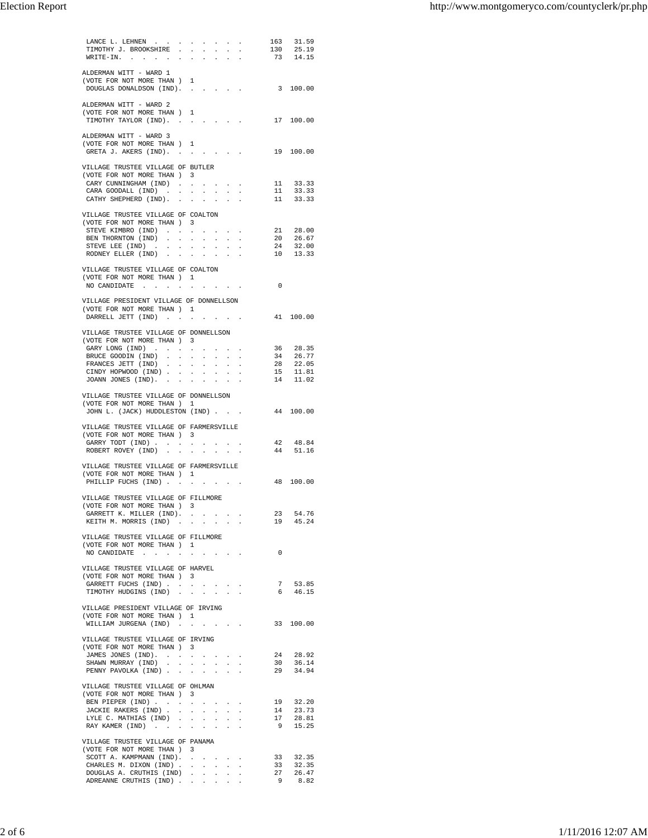| LANCE L. LEHNEN $\ldots$ $\ldots$ $\ldots$                           |                                                             |                          |                                             |                             |                                                                                             |                                 |                | 163 31.59                                                                     |  |
|----------------------------------------------------------------------|-------------------------------------------------------------|--------------------------|---------------------------------------------|-----------------------------|---------------------------------------------------------------------------------------------|---------------------------------|----------------|-------------------------------------------------------------------------------|--|
| TIMOTHY J. BROOKSHIRE                                                |                                                             |                          |                                             |                             |                                                                                             |                                 | 130            | 25.19                                                                         |  |
| WRITE-IN.                                                            | $\sim$                                                      |                          |                                             |                             | $\sim$                                                                                      | $\sim$ $\sim$                   |                | 73 14.15                                                                      |  |
|                                                                      |                                                             |                          |                                             |                             |                                                                                             |                                 |                |                                                                               |  |
| ALDERMAN WITT - WARD 1                                               |                                                             |                          |                                             |                             |                                                                                             |                                 |                |                                                                               |  |
| (VOTE FOR NOT MORE THAN ) 1                                          |                                                             |                          |                                             |                             |                                                                                             |                                 |                | 3 100.00                                                                      |  |
| DOUGLAS DONALDSON (IND).                                             |                                                             |                          |                                             |                             |                                                                                             |                                 |                |                                                                               |  |
| ALDERMAN WITT - WARD 2                                               |                                                             |                          |                                             |                             |                                                                                             |                                 |                |                                                                               |  |
| (VOTE FOR NOT MORE THAN ) 1                                          |                                                             |                          |                                             |                             |                                                                                             |                                 |                |                                                                               |  |
| TIMOTHY TAYLOR (IND).                                                |                                                             |                          |                                             |                             |                                                                                             |                                 |                | 17 100.00                                                                     |  |
|                                                                      | <b>Service State</b>                                        |                          |                                             |                             | <b>Service Control</b>                                                                      |                                 |                |                                                                               |  |
| ALDERMAN WITT - WARD 3                                               |                                                             |                          |                                             |                             |                                                                                             |                                 |                |                                                                               |  |
| (VOTE FOR NOT MORE THAN ) 1                                          |                                                             |                          |                                             |                             |                                                                                             |                                 |                |                                                                               |  |
| GRETA J. AKERS (IND).                                                |                                                             |                          |                                             |                             |                                                                                             |                                 |                | 19 100.00                                                                     |  |
|                                                                      |                                                             |                          |                                             |                             |                                                                                             |                                 |                |                                                                               |  |
| VILLAGE TRUSTEE VILLAGE OF BUTLER                                    |                                                             |                          |                                             |                             |                                                                                             |                                 |                |                                                                               |  |
| (VOTE FOR NOT MORE THAN ) 3                                          |                                                             |                          |                                             |                             |                                                                                             |                                 |                |                                                                               |  |
| CARY CUNNINGHAM (IND)                                                |                                                             |                          |                                             |                             |                                                                                             |                                 |                | 11 33.33                                                                      |  |
| CARA GOODALL $(IND)$                                                 |                                                             |                          |                                             |                             |                                                                                             | $\ddot{\phantom{a}}$            | 11             | 33.33                                                                         |  |
| CATHY SHEPHERD (IND).                                                |                                                             |                          | All Carolina of                             |                             |                                                                                             | $\ddot{\phantom{a}}$            |                | 11 33.33                                                                      |  |
|                                                                      |                                                             |                          |                                             |                             |                                                                                             |                                 |                |                                                                               |  |
| VILLAGE TRUSTEE VILLAGE OF COALTON                                   |                                                             |                          |                                             |                             |                                                                                             |                                 |                |                                                                               |  |
| (VOTE FOR NOT MORE THAN ) 3                                          |                                                             |                          |                                             |                             |                                                                                             |                                 |                |                                                                               |  |
| STEVE KIMBRO (IND)                                                   |                                                             |                          |                                             |                             | <b>Contract Contract</b>                                                                    |                                 | 21             | 28.00                                                                         |  |
| BEN THORNTON (IND)                                                   |                                                             |                          | $\sim$                                      | $\mathbf{z} = \mathbf{z}$ . |                                                                                             | $\cdot$                         |                | 20   26.67                                                                    |  |
| STEVE LEE (IND)                                                      |                                                             |                          |                                             | $\sim$ $\sim$               |                                                                                             |                                 | 24             | 32.00                                                                         |  |
| RODNEY ELLER (IND).                                                  | $\sim$                                                      | $\Box$                   | $\ddot{\phantom{a}}$                        |                             |                                                                                             |                                 |                | 10 13.33                                                                      |  |
|                                                                      |                                                             |                          |                                             |                             |                                                                                             |                                 |                |                                                                               |  |
| VILLAGE TRUSTEE VILLAGE OF COALTON                                   |                                                             |                          |                                             |                             |                                                                                             |                                 |                |                                                                               |  |
| (VOTE FOR NOT MORE THAN ) 1                                          |                                                             |                          |                                             |                             |                                                                                             |                                 |                |                                                                               |  |
| NO CANDIDATE .<br>$\mathcal{L}^{\text{max}}$                         | $\sim$                                                      | <b>Contract Contract</b> |                                             |                             | <b>Contract Contract</b>                                                                    |                                 | $\overline{0}$ |                                                                               |  |
|                                                                      |                                                             |                          |                                             |                             |                                                                                             |                                 |                |                                                                               |  |
| VILLAGE PRESIDENT VILLAGE OF DONNELLSON                              |                                                             |                          |                                             |                             |                                                                                             |                                 |                |                                                                               |  |
| (VOTE FOR NOT MORE THAN ) 1                                          |                                                             |                          |                                             |                             |                                                                                             |                                 |                | 41 100.00                                                                     |  |
| DARRELL JETT (IND)                                                   |                                                             |                          |                                             |                             |                                                                                             | the contract of the contract of |                |                                                                               |  |
|                                                                      |                                                             |                          |                                             |                             |                                                                                             |                                 |                |                                                                               |  |
| VILLAGE TRUSTEE VILLAGE OF DONNELLSON                                |                                                             |                          |                                             |                             |                                                                                             |                                 |                |                                                                               |  |
| (VOTE FOR NOT MORE THAN ) 3                                          |                                                             |                          |                                             |                             |                                                                                             |                                 |                |                                                                               |  |
| GARY LONG (IND)<br>BRUCE GOODIN (IND).                               | $\sim$                                                      | $\sim$                   | $\cdot$                                     |                             | <b>All Cards</b>                                                                            |                                 | 34             | 36 28.35<br>26.77                                                             |  |
| FRANCES JETT (IND).                                                  | $\mathcal{A}^{\mathcal{A}}$ and $\mathcal{A}^{\mathcal{A}}$ |                          | $\sim$                                      | $\sim$                      | $\sim$                                                                                      | $\blacksquare$                  |                |                                                                               |  |
|                                                                      | <b>All Adams</b>                                            |                          | $\mathcal{L}^{\pm}$                         | $\mathcal{L}^{\text{max}}$  |                                                                                             |                                 |                |                                                                               |  |
| CINDY HOPWOOD (IND)<br>JOANN JONES (IND). .                          | $\sim$                                                      |                          | $\sim 100$ km s $^{-1}$                     |                             | $\mathcal{A}^{\mathcal{A}}$ and $\mathcal{A}^{\mathcal{A}}$ and $\mathcal{A}^{\mathcal{A}}$ | $\cdot$                         |                | $\begin{array}{ccc} 28 & & 22.05 \\ 15 & & 11.81 \\ 14 & & 11.02 \end{array}$ |  |
|                                                                      |                                                             |                          |                                             |                             |                                                                                             |                                 |                |                                                                               |  |
| VILLAGE TRUSTEE VILLAGE OF DONNELLSON                                |                                                             |                          |                                             |                             |                                                                                             |                                 |                |                                                                               |  |
| (VOTE FOR NOT MORE THAN )                                            |                                                             | $\mathbf{1}$             |                                             |                             |                                                                                             |                                 |                |                                                                               |  |
| JOHN L. (JACK) HUDDLESTON (IND)                                      |                                                             |                          |                                             |                             |                                                                                             |                                 |                | 44 100.00                                                                     |  |
|                                                                      |                                                             |                          |                                             |                             |                                                                                             |                                 |                |                                                                               |  |
| VILLAGE TRUSTEE VILLAGE OF FARMERSVILLE                              |                                                             |                          |                                             |                             |                                                                                             |                                 |                |                                                                               |  |
| (VOTE FOR NOT MORE THAN ) 3                                          |                                                             |                          |                                             |                             |                                                                                             |                                 |                |                                                                               |  |
| GARRY TODT $(IND)$                                                   |                                                             |                          |                                             |                             |                                                                                             |                                 |                | 42 48.84                                                                      |  |
| ROBERT ROVEY (IND)                                                   |                                                             |                          |                                             |                             |                                                                                             |                                 | 44             | 51.16                                                                         |  |
|                                                                      |                                                             |                          |                                             |                             |                                                                                             |                                 |                |                                                                               |  |
| VILLAGE TRUSTEE VILLAGE OF FARMERSVILLE                              |                                                             |                          |                                             |                             |                                                                                             |                                 |                |                                                                               |  |
| (VOTE FOR NOT MORE THAN ) 1                                          |                                                             |                          |                                             |                             |                                                                                             |                                 |                |                                                                               |  |
| PHILLIP FUCHS (IND)                                                  |                                                             |                          |                                             |                             |                                                                                             |                                 |                | 48 100.00                                                                     |  |
|                                                                      |                                                             |                          |                                             |                             |                                                                                             |                                 |                |                                                                               |  |
| VILLAGE TRUSTEE VILLAGE OF FILLMORE                                  |                                                             |                          |                                             |                             |                                                                                             |                                 |                |                                                                               |  |
| (VOTE FOR NOT MORE THAN ) 3                                          |                                                             |                          |                                             |                             |                                                                                             |                                 |                |                                                                               |  |
| GARRETT K. MILLER (IND).                                             |                                                             |                          |                                             |                             |                                                                                             |                                 |                | 23 54.76                                                                      |  |
| KEITH M. MORRIS (IND)                                                |                                                             |                          |                                             |                             |                                                                                             |                                 |                | 19 45.24                                                                      |  |
|                                                                      |                                                             |                          |                                             |                             |                                                                                             |                                 |                |                                                                               |  |
| VILLAGE TRUSTEE VILLAGE OF FILLMORE                                  |                                                             |                          |                                             |                             |                                                                                             |                                 |                |                                                                               |  |
| (VOTE FOR NOT MORE THAN ) 1                                          |                                                             |                          |                                             |                             |                                                                                             |                                 |                |                                                                               |  |
| NO CANDIDATE $\cdot \cdot \cdot \cdot \cdot \cdot \cdot \cdot \cdot$ |                                                             |                          |                                             |                             |                                                                                             |                                 | $^{\circ}$     |                                                                               |  |
|                                                                      |                                                             |                          |                                             |                             |                                                                                             |                                 |                |                                                                               |  |
| VILLAGE TRUSTEE VILLAGE OF HARVEL                                    |                                                             |                          |                                             |                             |                                                                                             |                                 |                |                                                                               |  |
| (VOTE FOR NOT MORE THAN ) 3                                          |                                                             |                          |                                             |                             |                                                                                             |                                 |                |                                                                               |  |
| GARRETT FUCHS (IND) $\cdots$ $\cdots$ $\cdots$                       |                                                             |                          |                                             |                             |                                                                                             |                                 |                | 7 53.85                                                                       |  |
| TIMOTHY HUDGINS (IND)                                                |                                                             |                          |                                             |                             |                                                                                             |                                 |                | 6 46.15                                                                       |  |
|                                                                      |                                                             |                          |                                             |                             |                                                                                             |                                 |                |                                                                               |  |
| VILLAGE PRESIDENT VILLAGE OF IRVING                                  |                                                             |                          |                                             |                             |                                                                                             |                                 |                |                                                                               |  |
| (VOTE FOR NOT MORE THAN ) 1                                          |                                                             |                          |                                             |                             |                                                                                             |                                 |                |                                                                               |  |
| WILLIAM JURGENA (IND)                                                |                                                             |                          |                                             |                             |                                                                                             |                                 |                | 33 100.00                                                                     |  |
| VILLAGE TRUSTEE VILLAGE OF IRVING                                    |                                                             |                          |                                             |                             |                                                                                             |                                 |                |                                                                               |  |
| (VOTE FOR NOT MORE THAN ) 3                                          |                                                             |                          |                                             |                             |                                                                                             |                                 |                |                                                                               |  |
| JAMES JONES (IND).                                                   |                                                             |                          |                                             |                             |                                                                                             |                                 | 24             | 28.92                                                                         |  |
| SHAWN MURRAY (IND)                                                   |                                                             |                          | $\Delta \phi = \Delta \phi = \Delta \phi$ . |                             |                                                                                             |                                 | 30             | 36.14                                                                         |  |
| PENNY PAVOLKA (IND)                                                  |                                                             |                          |                                             |                             |                                                                                             | $\bullet$                       |                | $29$ $34.94$                                                                  |  |
|                                                                      |                                                             |                          |                                             |                             |                                                                                             |                                 |                |                                                                               |  |
| VILLAGE TRUSTEE VILLAGE OF OHLMAN                                    |                                                             |                          |                                             |                             |                                                                                             |                                 |                |                                                                               |  |
| (VOTE FOR NOT MORE THAN ) 3                                          |                                                             |                          |                                             |                             |                                                                                             |                                 |                |                                                                               |  |
| BEN PIEPER (IND)                                                     |                                                             |                          |                                             |                             |                                                                                             |                                 |                | 19 32.20                                                                      |  |
| JACKIE RAKERS (IND)                                                  |                                                             |                          |                                             | <b>Sales Street</b>         |                                                                                             | $\mathbf{r}$                    | 14             | 23.73                                                                         |  |
| LYLE C. MATHIAS (IND)                                                |                                                             |                          |                                             |                             | $\mathbf{L}^{\text{max}}$                                                                   | $\cdot$                         | 17             | 28.81                                                                         |  |
| RAY KAMER (IND)                                                      |                                                             |                          |                                             |                             |                                                                                             |                                 |                | 9 15.25                                                                       |  |
|                                                                      |                                                             |                          |                                             |                             |                                                                                             |                                 |                |                                                                               |  |
| VILLAGE TRUSTEE VILLAGE OF PANAMA                                    |                                                             |                          |                                             |                             |                                                                                             |                                 |                |                                                                               |  |
| (VOTE FOR NOT MORE THAN ) 3                                          |                                                             |                          |                                             |                             |                                                                                             |                                 |                |                                                                               |  |
| SCOTT A. KAMPMANN (IND).                                             |                                                             |                          |                                             |                             |                                                                                             |                                 | 33             | 32.35                                                                         |  |
| CHARLES M. DIXON (IND)                                               |                                                             |                          |                                             |                             |                                                                                             | $\sim$                          | 33             | 32.35                                                                         |  |
| DOUGLAS A. CRUTHIS (IND)                                             |                                                             |                          |                                             |                             |                                                                                             |                                 |                | 27 26.47                                                                      |  |
| ADREANNE CRUTHIS (IND)                                               |                                                             |                          |                                             |                             |                                                                                             |                                 | 9              | 8.82                                                                          |  |
|                                                                      |                                                             |                          |                                             |                             |                                                                                             |                                 |                |                                                                               |  |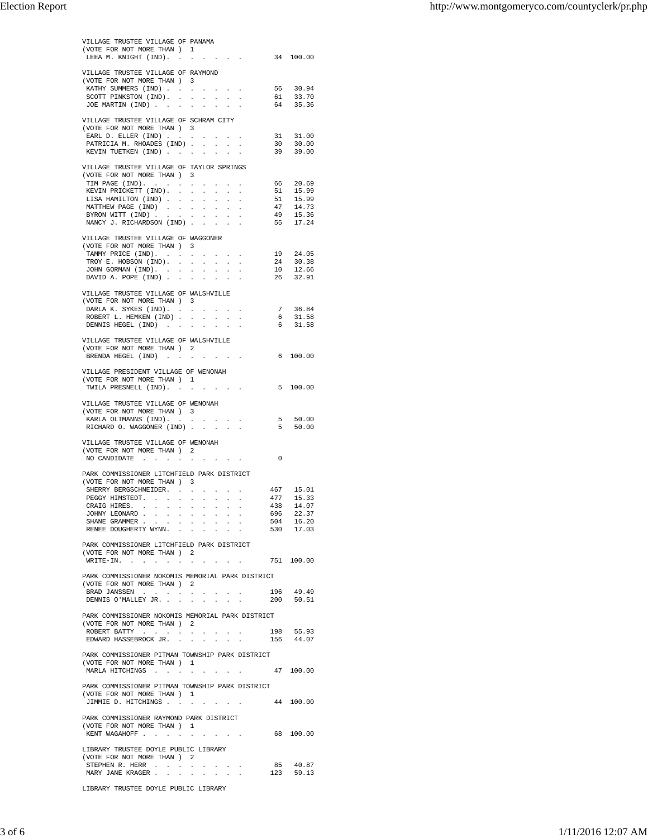|                                                                                |                |           |                                      | VILLAGE TRUSTEE VILLAGE OF PANAMA                                  |                              |                                                                    |                                                                                                                              |                |                                                                                                                   |
|--------------------------------------------------------------------------------|----------------|-----------|--------------------------------------|--------------------------------------------------------------------|------------------------------|--------------------------------------------------------------------|------------------------------------------------------------------------------------------------------------------------------|----------------|-------------------------------------------------------------------------------------------------------------------|
| (VOTE FOR NOT MORE THAN ) 1                                                    |                |           |                                      |                                                                    |                              |                                                                    |                                                                                                                              |                |                                                                                                                   |
| LEEA M. KNIGHT (IND). 34 100.00                                                |                |           |                                      |                                                                    |                              |                                                                    |                                                                                                                              |                |                                                                                                                   |
| VILLAGE TRUSTEE VILLAGE OF RAYMOND                                             |                |           |                                      |                                                                    |                              |                                                                    |                                                                                                                              |                |                                                                                                                   |
| (VOTE FOR NOT MORE THAN ) 3                                                    |                |           |                                      |                                                                    |                              |                                                                    |                                                                                                                              |                |                                                                                                                   |
| KATHY SUMMERS (IND)                                                            |                |           |                                      | the contract of the                                                |                              |                                                                    |                                                                                                                              |                |                                                                                                                   |
| SCOTT PINKSTON (IND).<br>JOE MARTIN (IND)                                      |                |           |                                      |                                                                    |                              |                                                                    |                                                                                                                              |                | 56 30.94<br>61 33.70<br>64 35.36                                                                                  |
|                                                                                |                |           |                                      |                                                                    |                              |                                                                    |                                                                                                                              |                |                                                                                                                   |
| VILLAGE TRUSTEE VILLAGE OF SCHRAM CITY                                         |                |           |                                      |                                                                    |                              |                                                                    |                                                                                                                              |                |                                                                                                                   |
| (VOTE FOR NOT MORE THAN ) 3                                                    |                |           |                                      |                                                                    |                              |                                                                    |                                                                                                                              |                |                                                                                                                   |
| EARL D. ELLER (IND)<br>PATRICIA M. RHOADES (IND)                               |                |           |                                      |                                                                    |                              |                                                                    |                                                                                                                              |                | 31 31.00<br>30 30.00                                                                                              |
| KEVIN TUETKEN (IND)                                                            |                |           |                                      | $\mathbf{L}^{\text{max}}$                                          | $\mathcal{L}^{\pm}$          | $\mathcal{L}^{\text{max}}$ , and                                   |                                                                                                                              |                | 39 39.00                                                                                                          |
|                                                                                |                |           |                                      |                                                                    |                              |                                                                    |                                                                                                                              |                |                                                                                                                   |
| VILLAGE TRUSTEE VILLAGE OF TAYLOR SPRINGS                                      |                |           |                                      |                                                                    |                              |                                                                    |                                                                                                                              |                |                                                                                                                   |
| (VOTE FOR NOT MORE THAN ) 3<br>TIM PAGE (IND).                                 |                |           |                                      |                                                                    |                              |                                                                    |                                                                                                                              |                |                                                                                                                   |
| KEVIN PRICKETT (IND). .                                                        |                |           | $\mathcal{L}^{\text{max}}$<br>$\sim$ | $\Delta \sim 10$                                                   | $\sim$                       | $\Delta \phi = 0.01$                                               |                                                                                                                              |                |                                                                                                                   |
| LISA HAMILTON (IND)                                                            |                |           | $\sim$                               |                                                                    |                              |                                                                    |                                                                                                                              |                |                                                                                                                   |
| MATTHEW PAGE (IND).                                                            |                | $\sim$    | $\ddot{\phantom{a}}$                 | <b>Contract Contract</b>                                           | <b>Service</b> State         |                                                                    | $\blacksquare$                                                                                                               |                |                                                                                                                   |
| BYRON WITT (IND)<br>NANCY J. RICHARDSON (IND)                                  |                |           |                                      |                                                                    |                              | $\mathbf{a} = \left\{ \mathbf{a}_1, \ldots, \mathbf{a}_n \right\}$ |                                                                                                                              |                | $\begin{array}{ccc} 66 & 20.69 \\ 51 & 15.99 \\ 51 & 15.99 \\ 47 & 14.73 \\ 49 & 15.36 \\ 55 & 17.24 \end{array}$ |
|                                                                                |                |           |                                      |                                                                    |                              |                                                                    |                                                                                                                              |                |                                                                                                                   |
| VILLAGE TRUSTEE VILLAGE OF WAGGONER                                            |                |           |                                      |                                                                    |                              |                                                                    |                                                                                                                              |                |                                                                                                                   |
| (VOTE FOR NOT MORE THAN ) 3                                                    |                |           |                                      |                                                                    |                              |                                                                    |                                                                                                                              |                |                                                                                                                   |
| TAMMY PRICE (IND).                                                             |                |           |                                      |                                                                    |                              |                                                                    | and a strategic and a strategic                                                                                              |                |                                                                                                                   |
| TROY E. HOBSON (IND).<br>JOHN GORMAN (IND).                                    |                |           |                                      |                                                                    |                              |                                                                    |                                                                                                                              |                | $\begin{array}{ll} 19 & 24.05 \\ 24 & 30.38 \\ 10 & 12.66 \\ 26 & 32.91 \end{array}$                              |
| DAVID A. POPE (IND)                                                            |                |           | $\ddot{\phantom{a}}$                 | the company of the company of                                      |                              |                                                                    |                                                                                                                              |                |                                                                                                                   |
|                                                                                |                |           |                                      |                                                                    |                              |                                                                    |                                                                                                                              |                |                                                                                                                   |
| VILLAGE TRUSTEE VILLAGE OF WALSHVILLE                                          |                |           |                                      |                                                                    |                              |                                                                    |                                                                                                                              |                |                                                                                                                   |
| (VOTE FOR NOT MORE THAN ) 3<br>DARLA K. SYKES (IND).                           |                |           |                                      |                                                                    |                              |                                                                    |                                                                                                                              |                |                                                                                                                   |
| ROBERT L. HEMKEN (IND).                                                        |                |           | $\sim$                               | $\mathcal{L}^{\pm}$                                                | $\mathcal{L}^{\pm}$          | $\sim$                                                             |                                                                                                                              |                | $\begin{array}{ccc} 7 & 36.84 \\ 6 & 31.58 \\ 6 & 31.58 \end{array}$                                              |
| DENNIS HEGEL (IND)                                                             |                |           |                                      | the contract of the contract of the con-                           |                              |                                                                    |                                                                                                                              |                |                                                                                                                   |
|                                                                                |                |           |                                      |                                                                    |                              |                                                                    |                                                                                                                              |                |                                                                                                                   |
| VILLAGE TRUSTEE VILLAGE OF WALSHVILLE<br>(VOTE FOR NOT MORE THAN ) 2           |                |           |                                      |                                                                    |                              |                                                                    |                                                                                                                              |                |                                                                                                                   |
| BRENDA HEGEL (IND) 6 100.00                                                    |                |           |                                      |                                                                    |                              |                                                                    |                                                                                                                              |                |                                                                                                                   |
|                                                                                |                |           |                                      |                                                                    |                              |                                                                    |                                                                                                                              |                |                                                                                                                   |
| VILLAGE PRESIDENT VILLAGE OF WENONAH                                           |                |           |                                      |                                                                    |                              |                                                                    |                                                                                                                              |                |                                                                                                                   |
| (VOTE FOR NOT MORE THAN ) 1                                                    |                |           |                                      |                                                                    |                              |                                                                    |                                                                                                                              |                |                                                                                                                   |
| TWILA PRESNELL (IND). 5 100.00                                                 |                |           |                                      |                                                                    |                              |                                                                    |                                                                                                                              |                |                                                                                                                   |
| VILLAGE TRUSTEE VILLAGE OF WENONAH                                             |                |           |                                      |                                                                    |                              |                                                                    |                                                                                                                              |                |                                                                                                                   |
| (VOTE FOR NOT MORE THAN ) 3                                                    |                |           |                                      |                                                                    |                              |                                                                    |                                                                                                                              |                |                                                                                                                   |
| KARLA OLTMANNS (IND). .                                                        |                |           |                                      | $\mathcal{A}$ and $\mathcal{A}$ are also been in the $\mathcal{A}$ |                              |                                                                    |                                                                                                                              |                | $5 50.00$<br>$5 50.00$                                                                                            |
| RICHARD O. WAGGONER (IND)                                                      |                |           |                                      |                                                                    |                              |                                                                    |                                                                                                                              |                |                                                                                                                   |
| VILLAGE TRUSTEE VILLAGE OF WENONAH                                             |                |           |                                      |                                                                    |                              |                                                                    |                                                                                                                              |                |                                                                                                                   |
| (VOTE FOR NOT MORE THAN ) 2                                                    |                |           |                                      |                                                                    |                              |                                                                    |                                                                                                                              |                |                                                                                                                   |
| NO CANDIDATE                                                                   |                |           |                                      | the control of the control of the                                  |                              |                                                                    |                                                                                                                              | $\overline{0}$ |                                                                                                                   |
| PARK COMMISSIONER LITCHFIELD PARK DISTRICT                                     |                |           |                                      |                                                                    |                              |                                                                    |                                                                                                                              |                |                                                                                                                   |
| (VOTE FOR NOT MORE THAN ) 3                                                    |                |           |                                      |                                                                    |                              |                                                                    |                                                                                                                              |                |                                                                                                                   |
| SHERRY BERGSCHNEIDER. .                                                        |                |           |                                      | the contract of the contract                                       |                              |                                                                    |                                                                                                                              |                | 467 15.01                                                                                                         |
| PEGGY HIMSTEDT.                                                                |                | $\bullet$ |                                      | $\sim$                                                             | $\mathcal{L}_{\mathrm{max}}$ |                                                                    |                                                                                                                              | 477            | 15.33                                                                                                             |
| CRAIG HIRES. .<br>$\mathbf{r}$                                                 | $\blacksquare$ | $\bullet$ | $\cdot$                              | $\cdot$                                                            |                              | $\sim$ $-$                                                         |                                                                                                                              | 696            | 438 14.07                                                                                                         |
| JOHNY LEONARD<br>SHANE GRAMMER.<br>$\ddot{\phantom{a}}$                        |                |           |                                      | and a strategic and a strategic and                                |                              |                                                                    |                                                                                                                              |                | 22.37                                                                                                             |
| RENEE DOUGHERTY WYNN.                                                          |                |           |                                      |                                                                    |                              |                                                                    |                                                                                                                              |                | 504 16.20<br>530 17.03                                                                                            |
|                                                                                |                |           |                                      |                                                                    |                              |                                                                    |                                                                                                                              |                |                                                                                                                   |
| PARK COMMISSIONER LITCHFIELD PARK DISTRICT                                     |                |           |                                      |                                                                    |                              |                                                                    |                                                                                                                              |                |                                                                                                                   |
| (VOTE FOR NOT MORE THAN ) 2<br>WRITE-IN.                                       |                | $\sim$    |                                      |                                                                    |                              |                                                                    | $\begin{array}{cccccccccccccc} . & . & . & . & . & . & . & . & . & . & . & . & . & . & . & . & . & 751 & 100.00 \end{array}$ |                |                                                                                                                   |
|                                                                                |                |           |                                      |                                                                    |                              |                                                                    |                                                                                                                              |                |                                                                                                                   |
| PARK COMMISSIONER NOKOMIS MEMORIAL PARK DISTRICT                               |                |           |                                      |                                                                    |                              |                                                                    |                                                                                                                              |                |                                                                                                                   |
| (VOTE FOR NOT MORE THAN ) 2                                                    |                |           |                                      |                                                                    |                              |                                                                    |                                                                                                                              |                |                                                                                                                   |
| BRAD JANSSEN                                                                   |                |           |                                      | $\Delta \phi = \Delta \phi$ .                                      |                              | $\sim$                                                             | the contract of the contract of<br>$\sim$ 10 $\sim$                                                                          |                | 196 49.49<br>200 50.51                                                                                            |
|                                                                                |                |           |                                      |                                                                    |                              |                                                                    |                                                                                                                              |                |                                                                                                                   |
| DENNIS O'MALLEY JR.                                                            |                |           |                                      |                                                                    |                              |                                                                    |                                                                                                                              |                |                                                                                                                   |
| PARK COMMISSIONER NOKOMIS MEMORIAL PARK DISTRICT                               |                |           |                                      |                                                                    |                              |                                                                    |                                                                                                                              |                |                                                                                                                   |
| (VOTE FOR NOT MORE THAN ) 2                                                    |                |           |                                      |                                                                    |                              |                                                                    |                                                                                                                              |                |                                                                                                                   |
| ROBERT BATTY                                                                   |                |           |                                      |                                                                    |                              |                                                                    | the control of the control of the                                                                                            |                | 198 55.93                                                                                                         |
| EDWARD HASSEBROCK JR.                                                          |                |           |                                      |                                                                    |                              |                                                                    |                                                                                                                              |                | 156 44.07                                                                                                         |
| PARK COMMISSIONER PITMAN TOWNSHIP PARK DISTRICT                                |                |           |                                      |                                                                    |                              |                                                                    |                                                                                                                              |                |                                                                                                                   |
| (VOTE FOR NOT MORE THAN ) 1                                                    |                |           |                                      |                                                                    |                              |                                                                    |                                                                                                                              |                |                                                                                                                   |
| MARLA HITCHINGS 47 100.00                                                      |                |           |                                      |                                                                    |                              |                                                                    |                                                                                                                              |                |                                                                                                                   |
|                                                                                |                |           |                                      |                                                                    |                              |                                                                    |                                                                                                                              |                |                                                                                                                   |
| PARK COMMISSIONER PITMAN TOWNSHIP PARK DISTRICT<br>(VOTE FOR NOT MORE THAN ) 1 |                |           |                                      |                                                                    |                              |                                                                    |                                                                                                                              |                |                                                                                                                   |
| JIMMIE D. HITCHINGS                                                            |                |           |                                      | the contract of the contract                                       |                              |                                                                    |                                                                                                                              |                | 44 100.00                                                                                                         |
|                                                                                |                |           |                                      |                                                                    |                              |                                                                    |                                                                                                                              |                |                                                                                                                   |
| PARK COMMISSIONER RAYMOND PARK DISTRICT                                        |                |           |                                      |                                                                    |                              |                                                                    |                                                                                                                              |                |                                                                                                                   |
| (VOTE FOR NOT MORE THAN ) 1                                                    |                |           |                                      |                                                                    |                              |                                                                    |                                                                                                                              |                |                                                                                                                   |
| KENT WAGAHOFF                                                                  |                |           |                                      |                                                                    |                              |                                                                    | the contract of the contract of the                                                                                          |                | 68 100.00                                                                                                         |
| LIBRARY TRUSTEE DOYLE PUBLIC LIBRARY                                           |                |           |                                      |                                                                    |                              |                                                                    |                                                                                                                              |                |                                                                                                                   |
| (VOTE FOR NOT MORE THAN ) 2                                                    |                |           |                                      |                                                                    |                              |                                                                    |                                                                                                                              |                |                                                                                                                   |
| STEPHEN R. HERR<br>All Carolina Co.                                            |                |           |                                      | the control of the control of                                      |                              |                                                                    |                                                                                                                              | 85             | 40.87                                                                                                             |
| MARY JANE KRAGER                                                               |                |           |                                      | the contract of the contract                                       |                              |                                                                    |                                                                                                                              |                | 123 59.13                                                                                                         |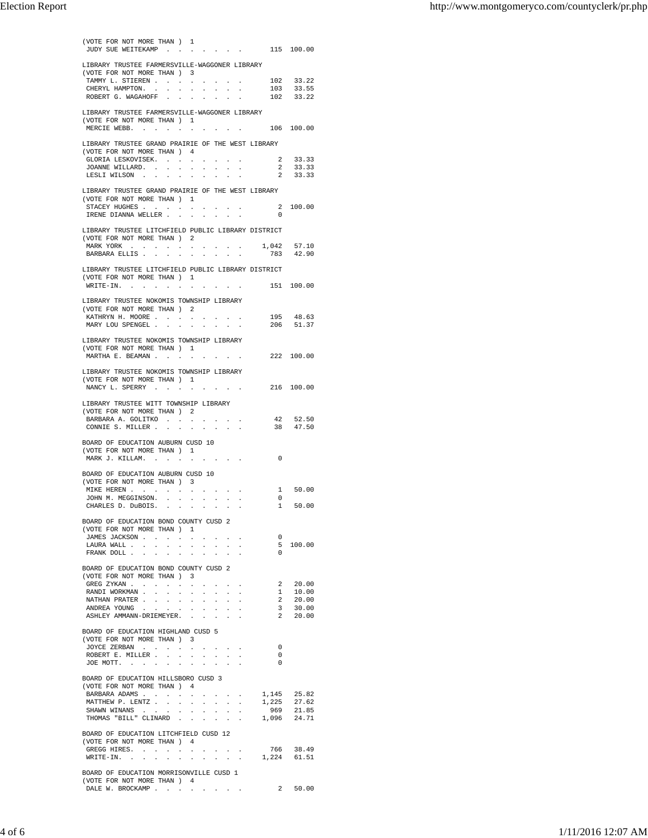|                                                                                  |                                        | (VOTE FOR NOT MORE THAN ) 1     |                      |                             |                                            |              |                                     | JUDY SUE WEITEKAMP 115 100.00    |                                                                           |  |
|----------------------------------------------------------------------------------|----------------------------------------|---------------------------------|----------------------|-----------------------------|--------------------------------------------|--------------|-------------------------------------|----------------------------------|---------------------------------------------------------------------------|--|
| LIBRARY TRUSTEE FARMERSVILLE-WAGGONER LIBRARY                                    |                                        |                                 |                      |                             |                                            |              |                                     |                                  |                                                                           |  |
| (VOTE FOR NOT MORE THAN ) 3                                                      |                                        |                                 |                      |                             |                                            |              |                                     |                                  |                                                                           |  |
| TAMMY L. STIEREN                                                                 |                                        |                                 |                      |                             |                                            |              |                                     |                                  |                                                                           |  |
| CHERYL HAMPTON.<br>ROBERT G. WAGAHOFF                                            |                                        |                                 |                      |                             | and a straightful control of the           |              |                                     |                                  | $\begin{array}{rr} 102 & 33.22 \\ 103 & 33.55 \\ 102 & 33.22 \end{array}$ |  |
|                                                                                  |                                        |                                 |                      |                             |                                            |              |                                     |                                  |                                                                           |  |
| LIBRARY TRUSTEE FARMERSVILLE-WAGGONER LIBRARY<br>(VOTE FOR NOT MORE THAN ) 1     |                                        |                                 |                      |                             |                                            |              |                                     |                                  |                                                                           |  |
| MERCIE WEBB.                                                                     |                                        | $\sim$                          |                      |                             |                                            |              |                                     | $\cdot$ 106 100.00               |                                                                           |  |
|                                                                                  |                                        |                                 |                      |                             |                                            |              |                                     |                                  |                                                                           |  |
| LIBRARY TRUSTEE GRAND PRAIRIE OF THE WEST LIBRARY<br>(VOTE FOR NOT MORE THAN ) 4 |                                        |                                 |                      |                             |                                            |              |                                     |                                  |                                                                           |  |
| GLORIA LESKOVISEK.                                                               |                                        |                                 |                      |                             |                                            |              |                                     |                                  | 2 33.33                                                                   |  |
| JOANNE WILLARD.                                                                  |                                        |                                 |                      |                             |                                            |              | $\sim$                              | 2                                | 33.33<br>2 33.33                                                          |  |
| LESLI WILSON                                                                     |                                        |                                 |                      |                             | $\mathbf{r}$ and $\mathbf{r}$              |              |                                     |                                  |                                                                           |  |
| LIBRARY TRUSTEE GRAND PRAIRIE OF THE WEST LIBRARY                                |                                        |                                 |                      |                             |                                            |              |                                     |                                  |                                                                           |  |
| (VOTE FOR NOT MORE THAN ) 1<br>STACEY HUGHES                                     |                                        |                                 |                      |                             |                                            |              | the contract of the contract of the |                                  | 2 100.00                                                                  |  |
| IRENE DIANNA WELLER                                                              |                                        |                                 |                      |                             |                                            |              |                                     | $\overline{0}$                   |                                                                           |  |
| LIBRARY TRUSTEE LITCHFIELD PUBLIC LIBRARY DISTRICT                               |                                        |                                 |                      |                             |                                            |              |                                     |                                  |                                                                           |  |
| (VOTE FOR NOT MORE THAN ) 2                                                      |                                        |                                 |                      |                             |                                            |              |                                     |                                  |                                                                           |  |
| MARK YORK                                                                        | $\mathbf{z} = \mathbf{z} + \mathbf{z}$ |                                 |                      |                             |                                            |              |                                     | $1,042$ 57.10<br>$783$ 42.90     |                                                                           |  |
| BARBARA ELLIS                                                                    |                                        |                                 |                      |                             |                                            |              |                                     |                                  |                                                                           |  |
| LIBRARY TRUSTEE LITCHFIELD PUBLIC LIBRARY DISTRICT                               |                                        |                                 |                      |                             |                                            |              |                                     |                                  |                                                                           |  |
| (VOTE FOR NOT MORE THAN ) 1<br>WRITE-IN. 151 100.00                              |                                        |                                 |                      |                             |                                            |              |                                     |                                  |                                                                           |  |
|                                                                                  |                                        |                                 |                      |                             |                                            |              |                                     |                                  |                                                                           |  |
| LIBRARY TRUSTEE NOKOMIS TOWNSHIP LIBRARY<br>(VOTE FOR NOT MORE THAN ) 2          |                                        |                                 |                      |                             |                                            |              |                                     |                                  |                                                                           |  |
| KATHRYN H. MOORE                                                                 |                                        |                                 |                      |                             |                                            |              |                                     |                                  | 195 48.63                                                                 |  |
| MARY LOU SPENGEL                                                                 |                                        |                                 |                      |                             |                                            |              |                                     |                                  | 206 51.37                                                                 |  |
| LIBRARY TRUSTEE NOKOMIS TOWNSHIP LIBRARY                                         |                                        |                                 |                      |                             |                                            |              |                                     |                                  |                                                                           |  |
| (VOTE FOR NOT MORE THAN ) 1                                                      |                                        |                                 |                      |                             |                                            |              |                                     |                                  |                                                                           |  |
| MARTHA E. BEAMAN 222 100.00                                                      |                                        |                                 |                      |                             |                                            |              |                                     |                                  |                                                                           |  |
| LIBRARY TRUSTEE NOKOMIS TOWNSHIP LIBRARY                                         |                                        |                                 |                      |                             |                                            |              |                                     |                                  |                                                                           |  |
| (VOTE FOR NOT MORE THAN ) 1                                                      |                                        |                                 |                      |                             |                                            |              |                                     |                                  |                                                                           |  |
| NANCY L. SPERRY 216 100.00                                                       |                                        |                                 |                      |                             |                                            |              |                                     |                                  |                                                                           |  |
| LIBRARY TRUSTEE WITT TOWNSHIP LIBRARY                                            |                                        |                                 |                      |                             |                                            |              |                                     |                                  |                                                                           |  |
| (VOTE FOR NOT MORE THAN ) 2<br>BARBARA A. GOLITKO                                |                                        |                                 |                      |                             |                                            |              |                                     |                                  | 42 52.50                                                                  |  |
| CONNIE S. MILLER                                                                 |                                        |                                 |                      |                             |                                            |              |                                     |                                  | 38 47.50                                                                  |  |
| BOARD OF EDUCATION AUBURN CUSD 10                                                |                                        |                                 |                      |                             |                                            |              |                                     |                                  |                                                                           |  |
| (VOTE FOR NOT MORE THAN ) 1                                                      |                                        |                                 |                      |                             |                                            |              |                                     |                                  |                                                                           |  |
| MARK J. KILLAM.                                                                  |                                        | the contract of the contract of |                      |                             |                                            |              |                                     | $\overline{0}$                   |                                                                           |  |
|                                                                                  |                                        |                                 |                      |                             |                                            |              |                                     |                                  |                                                                           |  |
| BOARD OF EDUCATION AUBURN CUSD 10                                                |                                        |                                 |                      |                             |                                            |              |                                     |                                  |                                                                           |  |
| (VOTE FOR NOT MORE THAN ) 3                                                      |                                        |                                 |                      |                             |                                            |              |                                     |                                  |                                                                           |  |
| MIKE HEREN                                                                       | $\sim$ $\sim$                          | $\ddot{\phantom{a}}$<br>$\sim$  | $\ddot{\phantom{a}}$ | $\mathcal{L}_{\mathcal{A}}$ | <b>Service State</b>                       | $\sim$       | $\blacksquare$                      | $\mathbf{0}$                     | 1 50.00                                                                   |  |
| JOHN M. MEGGINSON. .<br>CHARLES D. DuBOIS.                                       | $\sim$                                 | $\sim$                          | $\sim$<br>$\cdot$    |                             |                                            |              |                                     | 1                                | 50.00                                                                     |  |
|                                                                                  |                                        |                                 |                      |                             |                                            |              |                                     |                                  |                                                                           |  |
| BOARD OF EDUCATION BOND COUNTY CUSD 2<br>(VOTE FOR NOT MORE THAN ) 1             |                                        |                                 |                      |                             |                                            |              |                                     |                                  |                                                                           |  |
| JAMES JACKSON                                                                    |                                        | designed to the control of the  |                      |                             |                                            |              |                                     | $\overline{0}$                   |                                                                           |  |
| LAURA WALL                                                                       |                                        | $\mathcal{L}^{\pm}$             | $\sim$               | $\mathcal{L}^{\pm}$         | $\mathbf{u} = \mathbf{u} \cdot \mathbf{u}$ |              |                                     | $\Omega$                         | 5 100.00                                                                  |  |
| FRANK DOLL                                                                       |                                        |                                 |                      |                             |                                            |              |                                     |                                  |                                                                           |  |
| BOARD OF EDUCATION BOND COUNTY CUSD 2                                            |                                        |                                 |                      |                             |                                            |              |                                     |                                  |                                                                           |  |
| (VOTE FOR NOT MORE THAN ) 3<br>GREG ZYKAN                                        |                                        |                                 |                      | $\sim$                      |                                            |              | <b>Contract Contract</b>            |                                  | 2 20.00                                                                   |  |
| RANDI WORKMAN                                                                    |                                        | $\mathcal{L}^{\pm}$             | <b>Service</b>       |                             |                                            |              |                                     | $\overline{1}$                   | 10.00                                                                     |  |
| NATHAN PRATER<br>ANDREA YOUNG .                                                  |                                        |                                 |                      |                             | $\sim$                                     | $\mathbf{a}$ | $\ddot{\phantom{a}}$                |                                  | 2 20.00<br>3 30.00                                                        |  |
| ASHLEY AMMANN-DRIEMEYER.                                                         |                                        |                                 |                      |                             |                                            |              |                                     |                                  | $2\ 20.00$                                                                |  |
| BOARD OF EDUCATION HIGHLAND CUSD 5                                               |                                        |                                 |                      |                             |                                            |              |                                     |                                  |                                                                           |  |
| (VOTE FOR NOT MORE THAN ) 3                                                      |                                        |                                 |                      |                             |                                            |              |                                     |                                  |                                                                           |  |
| JOYCE ZERBAN $\cdot$                                                             |                                        |                                 |                      |                             |                                            |              |                                     | $\overline{0}$                   |                                                                           |  |
| ROBERT E. MILLER<br>JOE MOTT.                                                    | $\sim$                                 | $\Delta\phi=0.01$               |                      | $\sim 10^{-1}$              |                                            |              |                                     | $\overline{0}$<br>$\overline{0}$ |                                                                           |  |
|                                                                                  |                                        |                                 |                      |                             |                                            |              |                                     |                                  |                                                                           |  |
| BOARD OF EDUCATION HILLSBORO CUSD 3<br>(VOTE FOR NOT MORE THAN ) 4               |                                        |                                 |                      |                             |                                            |              |                                     |                                  |                                                                           |  |
| BARBARA ADAMS                                                                    |                                        |                                 |                      |                             |                                            |              | the contract of the contract of     |                                  | 1,145 25.82                                                               |  |
| MATTHEW P. LENTZ                                                                 |                                        |                                 |                      |                             |                                            |              |                                     | 1,225                            | 27.62                                                                     |  |
| SHAWN WINANS<br>THOMAS "BILL" CLINARD                                            |                                        | $\Delta \phi = \Delta \phi$ .   |                      | $\mathcal{L}^{\pm}$         | <b>Service</b>                             |              |                                     | 969                              | 21.85<br>1,096 24.71                                                      |  |
|                                                                                  |                                        |                                 |                      |                             |                                            |              |                                     |                                  |                                                                           |  |
| BOARD OF EDUCATION LITCHFIELD CUSD 12<br>(VOTE FOR NOT MORE THAN ) 4             |                                        |                                 |                      |                             |                                            |              |                                     |                                  |                                                                           |  |
| GREGG HIRES.                                                                     |                                        |                                 |                      |                             |                                            |              |                                     |                                  | 766 38.49                                                                 |  |
| $\texttt{WRITE-IN.}$                                                             |                                        |                                 |                      |                             | <b>Service State</b>                       |              |                                     |                                  | 1,224 61.51                                                               |  |
| BOARD OF EDUCATION MORRISONVILLE CUSD 1                                          |                                        |                                 |                      |                             |                                            |              |                                     |                                  |                                                                           |  |
| (VOTE FOR NOT MORE THAN ) 4<br>DALE W. BROCKAMP                                  |                                        |                                 |                      |                             |                                            |              |                                     | 2 50.00                          |                                                                           |  |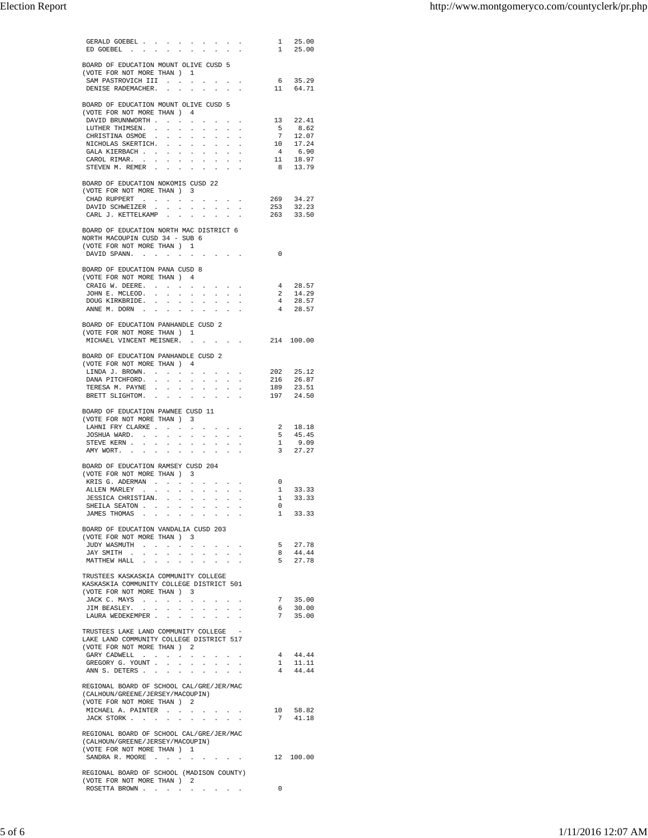| GERALD GOEBEL<br>ED GOEBEL                                                    | $\sim$              | <b>Service</b>      | $\sim$                  | $\sim$                                                          | $\sim$                                 | $\sim$                                                                                      |                | 1 25.00<br>1 25.00                                                                                    |
|-------------------------------------------------------------------------------|---------------------|---------------------|-------------------------|-----------------------------------------------------------------|----------------------------------------|---------------------------------------------------------------------------------------------|----------------|-------------------------------------------------------------------------------------------------------|
|                                                                               |                     |                     |                         |                                                                 |                                        |                                                                                             |                |                                                                                                       |
| BOARD OF EDUCATION MOUNT OLIVE CUSD 5                                         |                     |                     |                         |                                                                 |                                        |                                                                                             |                |                                                                                                       |
| (VOTE FOR NOT MORE THAN ) 1<br>SAM PASTROVICH III                             |                     |                     |                         |                                                                 |                                        |                                                                                             |                |                                                                                                       |
| DENISE RADEMACHER.                                                            |                     |                     |                         |                                                                 |                                        |                                                                                             |                | $\begin{array}{ccc} & 6 & 35.29 \\ 11 & 64.71 \end{array}$                                            |
| BOARD OF EDUCATION MOUNT OLIVE CUSD 5                                         |                     |                     |                         |                                                                 |                                        |                                                                                             |                |                                                                                                       |
| (VOTE FOR NOT MORE THAN ) 4                                                   |                     |                     |                         |                                                                 |                                        |                                                                                             |                |                                                                                                       |
| DAVID BRUNNWORTH                                                              |                     |                     |                         |                                                                 |                                        |                                                                                             |                | 13 22.41                                                                                              |
| LUTHER THIMSEN. .<br>CHRISTINA OSMOE                                          |                     | $\mathcal{L}^{\pm}$ | $\mathcal{L}^{\pm}$     | $\mathbb{Z}^{\mathbb{Z}}$<br>$\sim$<br>$\sim$                   | $\mathcal{L}_{\mathcal{A}}$            | and a state                                                                                 |                |                                                                                                       |
| NICHOLAS SKERTICH.                                                            |                     |                     |                         | <b>Service</b>                                                  |                                        |                                                                                             |                | $\begin{array}{ccc} & 5 & 8.62 \\ 7 & 12.07 \\ 10 & 17.24 \end{array}$                                |
| GALA KIERBACH                                                                 |                     |                     |                         | <b>All Cards</b>                                                |                                        | $\mathcal{A}^{\mathcal{A}}$ and $\mathcal{A}^{\mathcal{A}}$ and $\mathcal{A}^{\mathcal{A}}$ |                |                                                                                                       |
| CAROL RIMAR.<br>STEVEN M. REMER                                               |                     |                     |                         | <b>Service</b>                                                  |                                        |                                                                                             |                | $\begin{array}{ccc} 4 & \phantom{0}6.90 \\ 11 & \phantom{0}18.97 \\ 8 & \phantom{0}13.79 \end{array}$ |
|                                                                               |                     |                     |                         |                                                                 |                                        |                                                                                             |                |                                                                                                       |
| BOARD OF EDUCATION NOKOMIS CUSD 22<br>(VOTE FOR NOT MORE THAN ) 3             |                     |                     |                         |                                                                 |                                        |                                                                                             |                |                                                                                                       |
| CHAD RUPPERT $\cdot \cdot \cdot \cdot$                                        |                     |                     |                         |                                                                 |                                        | the control of the control of                                                               |                | 269 34.27                                                                                             |
| DAVID SCHWEIZER                                                               |                     |                     |                         |                                                                 |                                        |                                                                                             | 253            | 32.23                                                                                                 |
| CARL J. KETTELKAMP                                                            |                     |                     | $\sim$                  | $\sim$                                                          | $\sim$                                 | $\mathcal{L}$                                                                               |                | 263 33.50                                                                                             |
| BOARD OF EDUCATION NORTH MAC DISTRICT 6                                       |                     |                     |                         |                                                                 |                                        |                                                                                             |                |                                                                                                       |
| NORTH MACOUPIN CUSD 34 - SUB 6                                                |                     |                     |                         |                                                                 |                                        |                                                                                             |                |                                                                                                       |
| (VOTE FOR NOT MORE THAN ) 1<br>DAVID SPANN. $\cdot$                           |                     |                     |                         |                                                                 |                                        |                                                                                             | $\overline{0}$ |                                                                                                       |
|                                                                               |                     |                     |                         |                                                                 |                                        |                                                                                             |                |                                                                                                       |
| BOARD OF EDUCATION PANA CUSD 8<br>(VOTE FOR NOT MORE THAN ) 4                 |                     |                     |                         |                                                                 |                                        |                                                                                             |                |                                                                                                       |
| CRAIG W. DEERE.                                                               |                     |                     |                         |                                                                 |                                        |                                                                                             |                | 4 28.57                                                                                               |
| JOHN E. MCLEOD.                                                               | $\mathcal{L}^{\pm}$ | $\mathcal{L}^{\pm}$ | $\mathcal{L}^{\pm}$     | $\mathbf{L}^{\text{max}}$<br>$\mathbb{Z}^{\mathbb{Z}^{\times}}$ | $\mathcal{L}^{\pm}$                    |                                                                                             |                | $\begin{array}{cc} 2 & 14.29 \\ 4 & 28.57 \\ 4 & 28.57 \end{array}$                                   |
| DOUG KIRKBRIDE.<br>ANNE M. DORN                                               |                     |                     |                         |                                                                 |                                        | the contract of the contract                                                                |                |                                                                                                       |
|                                                                               |                     |                     |                         |                                                                 |                                        |                                                                                             |                |                                                                                                       |
| BOARD OF EDUCATION PANHANDLE CUSD 2                                           |                     |                     |                         |                                                                 |                                        |                                                                                             |                |                                                                                                       |
| (VOTE FOR NOT MORE THAN ) 1<br>MICHAEL VINCENT MEISNER. 214 100.00            |                     |                     |                         |                                                                 |                                        |                                                                                             |                |                                                                                                       |
|                                                                               |                     |                     |                         |                                                                 |                                        |                                                                                             |                |                                                                                                       |
| BOARD OF EDUCATION PANHANDLE CUSD 2                                           |                     |                     |                         |                                                                 |                                        |                                                                                             |                |                                                                                                       |
| (VOTE FOR NOT MORE THAN ) 4<br>LINDA J. BROWN.                                |                     |                     |                         |                                                                 |                                        | and the contract of the                                                                     |                | 202 25.12                                                                                             |
| DANA PITCHFORD.                                                               |                     |                     | $\sim$ $-$              | $\sim$                                                          | <b>All Adams</b>                       | $\cdot$                                                                                     |                | 216 26.87<br>189 23.51                                                                                |
| TERESA M. PAYNE<br>BRETT SLIGHTOM.                                            |                     |                     |                         |                                                                 |                                        | the contract of the contract                                                                |                | 197 24.50                                                                                             |
|                                                                               |                     |                     |                         | $\mathcal{A}^{\mathcal{A}}$ and $\mathcal{A}^{\mathcal{A}}$     | <b>Contract Contract</b>               |                                                                                             |                |                                                                                                       |
| BOARD OF EDUCATION PAWNEE CUSD 11                                             |                     |                     |                         |                                                                 |                                        |                                                                                             |                |                                                                                                       |
| (VOTE FOR NOT MORE THAN ) 3<br>LAHNI FRY CLARKE                               |                     |                     |                         |                                                                 |                                        |                                                                                             |                |                                                                                                       |
| JOSHUA WARD.                                                                  |                     |                     |                         |                                                                 |                                        | the control of the control of                                                               |                |                                                                                                       |
| STEVE KERN<br>AMY WORT.                                                       |                     |                     |                         | $\mathcal{L}^{\text{max}}$                                      |                                        |                                                                                             |                | $\begin{array}{ccc} 2 & 18.18 \\ 5 & 45.45 \\ 1 & 9.09 \\ 3 & 27.27 \end{array}$                      |
|                                                                               |                     | <b>Carl Carl</b>    |                         | and the control                                                 |                                        | $\sim$ 100 $\sim$                                                                           |                |                                                                                                       |
| BOARD OF EDUCATION RAMSEY CUSD 204                                            |                     |                     |                         |                                                                 |                                        |                                                                                             |                |                                                                                                       |
| (VOTE FOR NOT MORE THAN)<br>KRIS G. ADERMAN                                   |                     |                     | $\overline{\mathbf{3}}$ | $\mathcal{A}^{\mathcal{A}}$ and $\mathcal{A}^{\mathcal{A}}$     | <b>All Cards</b>                       | $\cdot$                                                                                     | $\circ$        |                                                                                                       |
| ALLEN MARLEY                                                                  |                     |                     |                         | $\mathcal{A}^{\mathcal{A}}$ and $\mathcal{A}^{\mathcal{A}}$     | $\mathbf{a} = \mathbf{a} \mathbf{a}$ . |                                                                                             |                | $\begin{array}{ccc} 1 & 33.33 \\ 1 & 33.33 \end{array}$                                               |
| JESSICA CHRISTIAN.<br>SHEILA SEATON                                           |                     |                     |                         | <b>CALCUM</b>                                                   |                                        | <b>Service Control</b>                                                                      | $\overline{0}$ |                                                                                                       |
| JAMES THOMAS                                                                  |                     |                     |                         |                                                                 |                                        |                                                                                             |                | 1 33.33                                                                                               |
|                                                                               |                     |                     |                         |                                                                 |                                        |                                                                                             |                |                                                                                                       |
| BOARD OF EDUCATION VANDALIA CUSD 203<br>(VOTE FOR NOT MORE THAN ) 3           |                     |                     |                         |                                                                 |                                        |                                                                                             |                |                                                                                                       |
| JUDY WASMUTH                                                                  |                     |                     |                         |                                                                 |                                        |                                                                                             | 5 <sup>5</sup> | 27.78                                                                                                 |
| JAY SMITH                                                                     |                     |                     |                         |                                                                 |                                        |                                                                                             | 8              | 44.44<br>5 27.78                                                                                      |
| $\verb MATTHEW HALL ~~.~~.~~.~~.~~.~~.~~.$                                    |                     |                     |                         |                                                                 |                                        |                                                                                             |                |                                                                                                       |
| TRUSTEES KASKASKIA COMMUNITY COLLEGE                                          |                     |                     |                         |                                                                 |                                        |                                                                                             |                |                                                                                                       |
| KASKASKIA COMMUNITY COLLEGE DISTRICT 501<br>(VOTE FOR NOT MORE THAN ) 3       |                     |                     |                         |                                                                 |                                        |                                                                                             |                |                                                                                                       |
| JACK C. MAYS                                                                  |                     |                     |                         |                                                                 |                                        | the contract of the contract                                                                |                | 7 35.00                                                                                               |
| JIM BEASLEY.                                                                  |                     |                     |                         |                                                                 |                                        |                                                                                             | 6              | 30.00                                                                                                 |
| LAURA WEDEKEMPER                                                              |                     |                     |                         | <b>Service</b>                                                  | $\sim$                                 | $\sim 10^{-11}$<br>$\cdot$                                                                  |                | $7\quad 35.00$                                                                                        |
| TRUSTEES LAKE LAND COMMUNITY COLLEGE -                                        |                     |                     |                         |                                                                 |                                        |                                                                                             |                |                                                                                                       |
| LAKE LAND COMMUNITY COLLEGE DISTRICT 517                                      |                     |                     |                         |                                                                 |                                        |                                                                                             |                |                                                                                                       |
| (VOTE FOR NOT MORE THAN ) 2<br>GARY CADWELL                                   |                     |                     |                         |                                                                 |                                        | $\sim$                                                                                      | 4              | 44.44                                                                                                 |
| GREGORY G. YOUNT                                                              |                     |                     |                         |                                                                 |                                        |                                                                                             | $\mathbf{1}$   | 11.11                                                                                                 |
| ANN S. DETERS                                                                 |                     |                     |                         | $\sim$ $\sim$                                                   | $\sim$                                 |                                                                                             |                | 44.44                                                                                                 |
| REGIONAL BOARD OF SCHOOL CAL/GRE/JER/MAC                                      |                     |                     |                         |                                                                 |                                        |                                                                                             |                |                                                                                                       |
| (CALHOUN/GREENE/JERSEY/MACOUPIN)                                              |                     |                     |                         |                                                                 |                                        |                                                                                             |                |                                                                                                       |
| (VOTE FOR NOT MORE THAN ) 2<br>$\verb+MICHAEL A. PAINTER + . + . + . + . + .$ |                     |                     |                         |                                                                 |                                        |                                                                                             |                | 10 58.82                                                                                              |
| JACK STORK                                                                    |                     |                     |                         |                                                                 |                                        |                                                                                             | 7              | 41.18                                                                                                 |
|                                                                               |                     |                     |                         |                                                                 |                                        |                                                                                             |                |                                                                                                       |
| REGIONAL BOARD OF SCHOOL CAL/GRE/JER/MAC<br>(CALHOUN/GREENE/JERSEY/MACOUPIN)  |                     |                     |                         |                                                                 |                                        |                                                                                             |                |                                                                                                       |
| (VOTE FOR NOT MORE THAN ) 1                                                   |                     |                     |                         |                                                                 |                                        |                                                                                             |                |                                                                                                       |
| SANDRA R. MOORE 12 100.00                                                     |                     |                     |                         |                                                                 |                                        |                                                                                             |                |                                                                                                       |
| REGIONAL BOARD OF SCHOOL (MADISON COUNTY)                                     |                     |                     |                         |                                                                 |                                        |                                                                                             |                |                                                                                                       |
| (VOTE FOR NOT MORE THAN ) 2                                                   |                     |                     |                         |                                                                 |                                        |                                                                                             |                |                                                                                                       |
|                                                                               |                     |                     |                         |                                                                 |                                        |                                                                                             | $\mathbf{0}$   |                                                                                                       |